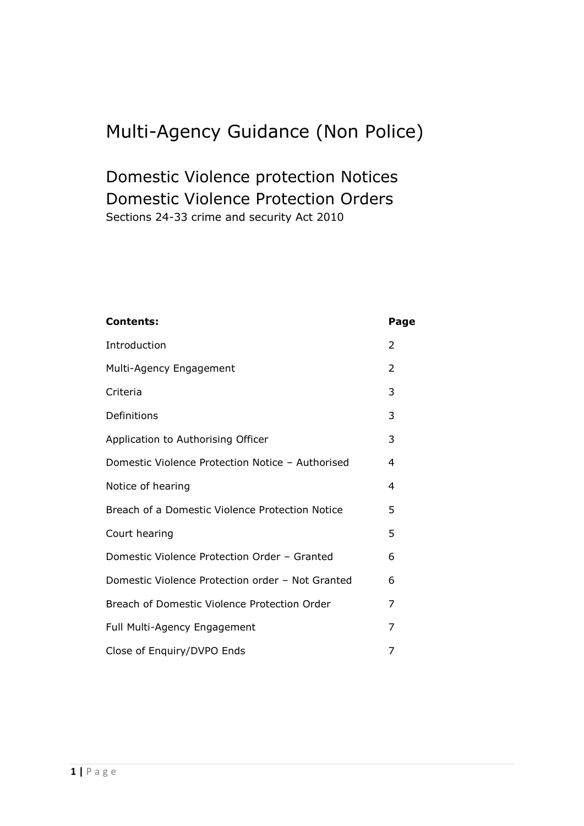# Multi-Agency Guidance (Non Police)

## Domestic Violence protection Notices Domestic Violence Protection Orders Sections 24-33 crime and security Act 2010

| <b>Contents:</b>                                 | Page |
|--------------------------------------------------|------|
| Introduction                                     | 2    |
| Multi-Agency Engagement                          | 2    |
| Criteria                                         | 3    |
| Definitions                                      | 3    |
| Application to Authorising Officer               | 3    |
| Domestic Violence Protection Notice - Authorised | 4    |
| Notice of hearing                                | 4    |
| Breach of a Domestic Violence Protection Notice  | 5    |
| Court hearing                                    | 5    |
| Domestic Violence Protection Order - Granted     | 6    |
| Domestic Violence Protection order - Not Granted | 6    |
| Breach of Domestic Violence Protection Order     | 7    |
| Full Multi-Agency Engagement                     | 7    |
| Close of Enquiry/DVPO Ends                       | 7    |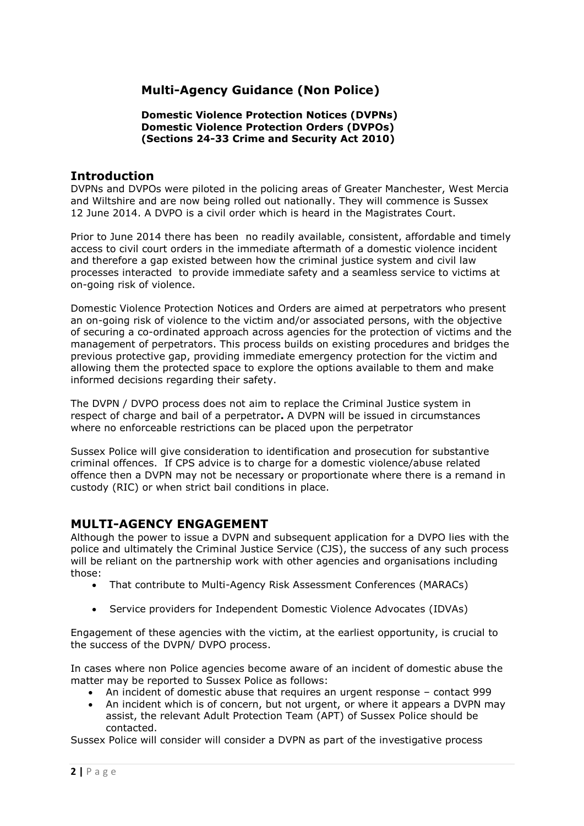## **Multi-Agency Guidance (Non Police)**

#### **Domestic Violence Protection Notices (DVPNs) Domestic Violence Protection Orders (DVPOs) (Sections 24-33 Crime and Security Act 2010)**

## **Introduction**

DVPNs and DVPOs were piloted in the policing areas of Greater Manchester, West Mercia and Wiltshire and are now being rolled out nationally. They will commence is Sussex 12 June 2014. A DVPO is a civil order which is heard in the Magistrates Court.

Prior to June 2014 there has been no readily available, consistent, affordable and timely access to civil court orders in the immediate aftermath of a domestic violence incident and therefore a gap existed between how the criminal justice system and civil law processes interacted to provide immediate safety and a seamless service to victims at on-going risk of violence.

Domestic Violence Protection Notices and Orders are aimed at perpetrators who present an on-going risk of violence to the victim and/or associated persons, with the objective of securing a co-ordinated approach across agencies for the protection of victims and the management of perpetrators. This process builds on existing procedures and bridges the previous protective gap, providing immediate emergency protection for the victim and allowing them the protected space to explore the options available to them and make informed decisions regarding their safety.

The DVPN / DVPO process does not aim to replace the Criminal Justice system in respect of charge and bail of a perpetrator**.** A DVPN will be issued in circumstances where no enforceable restrictions can be placed upon the perpetrator

Sussex Police will give consideration to identification and prosecution for substantive criminal offences. If CPS advice is to charge for a domestic violence/abuse related offence then a DVPN may not be necessary or proportionate where there is a remand in custody (RIC) or when strict bail conditions in place.

## **MULTI-AGENCY ENGAGEMENT**

Although the power to issue a DVPN and subsequent application for a DVPO lies with the police and ultimately the Criminal Justice Service (CJS), the success of any such process will be reliant on the partnership work with other agencies and organisations including those:

- That contribute to Multi-Agency Risk Assessment Conferences (MARACs)
- Service providers for Independent Domestic Violence Advocates (IDVAs)

Engagement of these agencies with the victim, at the earliest opportunity, is crucial to the success of the DVPN/ DVPO process.

In cases where non Police agencies become aware of an incident of domestic abuse the matter may be reported to Sussex Police as follows:

- An incident of domestic abuse that requires an urgent response contact 999
- An incident which is of concern, but not urgent, or where it appears a DVPN may assist, the relevant Adult Protection Team (APT) of Sussex Police should be contacted.

Sussex Police will consider will consider a DVPN as part of the investigative process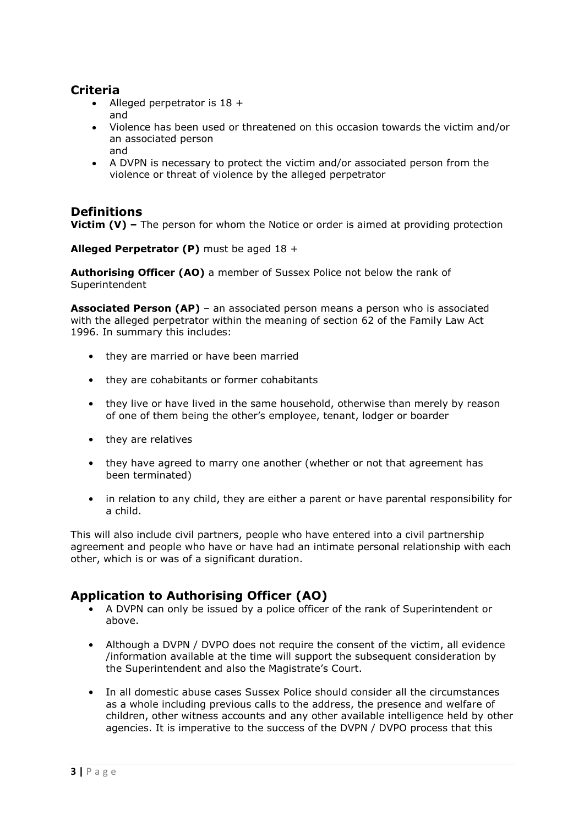## **Criteria**

- Alleged perpetrator is 18 + and
- Violence has been used or threatened on this occasion towards the victim and/or an associated person and
- A DVPN is necessary to protect the victim and/or associated person from the violence or threat of violence by the alleged perpetrator

## **Definitions**

**Victim (V) –** The person for whom the Notice or order is aimed at providing protection

**Alleged Perpetrator (P)** must be aged 18 +

**Authorising Officer (AO)** a member of Sussex Police not below the rank of Superintendent

**Associated Person (AP)** – an associated person means a person who is associated with the alleged perpetrator within the meaning of section 62 of the Family Law Act 1996. In summary this includes:

- they are married or have been married
- they are cohabitants or former cohabitants
- they live or have lived in the same household, otherwise than merely by reason of one of them being the other's employee, tenant, lodger or boarder
- they are relatives
- they have agreed to marry one another (whether or not that agreement has been terminated)
- in relation to any child, they are either a parent or have parental responsibility for a child.

This will also include civil partners, people who have entered into a civil partnership agreement and people who have or have had an intimate personal relationship with each other, which is or was of a significant duration.

## **Application to Authorising Officer (AO)**

- A DVPN can only be issued by a police officer of the rank of Superintendent or above.
- Although a DVPN / DVPO does not require the consent of the victim, all evidence /information available at the time will support the subsequent consideration by the Superintendent and also the Magistrate's Court.
- In all domestic abuse cases Sussex Police should consider all the circumstances as a whole including previous calls to the address, the presence and welfare of children, other witness accounts and any other available intelligence held by other agencies. It is imperative to the success of the DVPN / DVPO process that this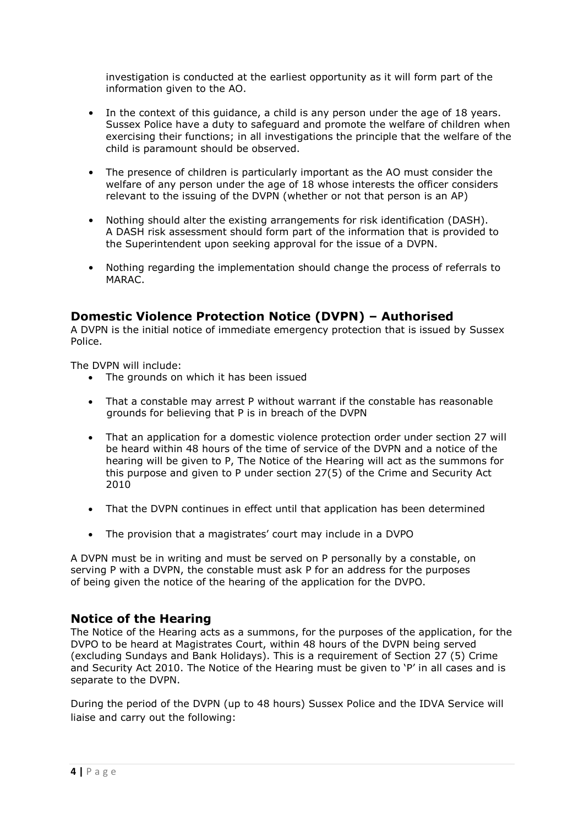investigation is conducted at the earliest opportunity as it will form part of the information given to the AO.

- In the context of this guidance, a child is any person under the age of 18 years. Sussex Police have a duty to safeguard and promote the welfare of children when exercising their functions; in all investigations the principle that the welfare of the child is paramount should be observed.
- The presence of children is particularly important as the AO must consider the welfare of any person under the age of 18 whose interests the officer considers relevant to the issuing of the DVPN (whether or not that person is an AP)
- Nothing should alter the existing arrangements for risk identification (DASH). A DASH risk assessment should form part of the information that is provided to the Superintendent upon seeking approval for the issue of a DVPN.
- Nothing regarding the implementation should change the process of referrals to MARAC.

## **Domestic Violence Protection Notice (DVPN) – Authorised**

A DVPN is the initial notice of immediate emergency protection that is issued by Sussex Police.

The DVPN will include:

- The grounds on which it has been issued
- That a constable may arrest P without warrant if the constable has reasonable grounds for believing that P is in breach of the DVPN
- That an application for a domestic violence protection order under section 27 will be heard within 48 hours of the time of service of the DVPN and a notice of the hearing will be given to P, The Notice of the Hearing will act as the summons for this purpose and given to P under section 27(5) of the Crime and Security Act 2010
- That the DVPN continues in effect until that application has been determined
- The provision that a magistrates' court may include in a DVPO

A DVPN must be in writing and must be served on P personally by a constable, on serving P with a DVPN, the constable must ask P for an address for the purposes of being given the notice of the hearing of the application for the DVPO.

## **Notice of the Hearing**

The Notice of the Hearing acts as a summons, for the purposes of the application, for the DVPO to be heard at Magistrates Court, within 48 hours of the DVPN being served (excluding Sundays and Bank Holidays). This is a requirement of Section 27 (5) Crime and Security Act 2010. The Notice of the Hearing must be given to 'P' in all cases and is separate to the DVPN.

During the period of the DVPN (up to 48 hours) Sussex Police and the IDVA Service will liaise and carry out the following: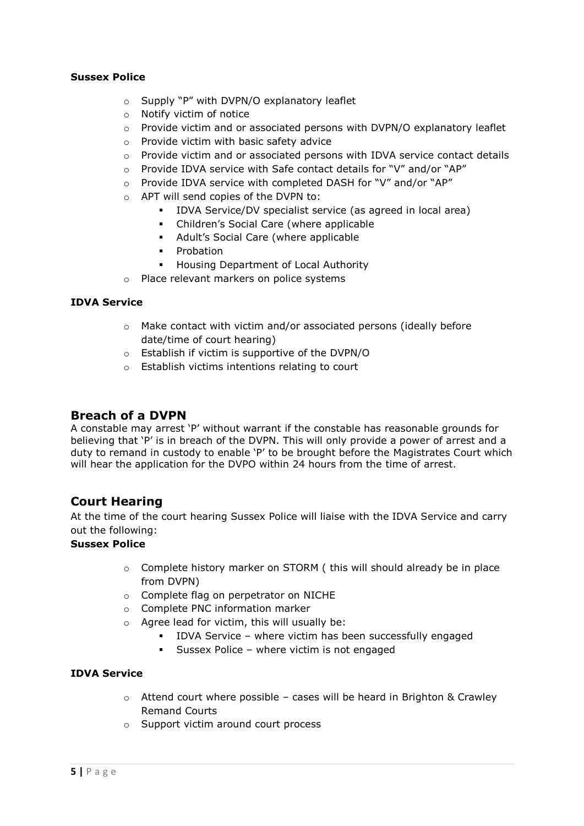#### **Sussex Police**

- o Supply "P" with DVPN/O explanatory leaflet
- o Notify victim of notice
- $\circ$  Provide victim and or associated persons with DVPN/O explanatory leaflet
- o Provide victim with basic safety advice
- o Provide victim and or associated persons with IDVA service contact details
- o Provide IDVA service with Safe contact details for "V" and/or "AP"
- o Provide IDVA service with completed DASH for "V" and/or "AP"
- o APT will send copies of the DVPN to:
	- IDVA Service/DV specialist service (as agreed in local area)
	- Children's Social Care (where applicable
	- Adult's Social Care (where applicable
	- **•** Probation
	- **Housing Department of Local Authority**
- o Place relevant markers on police systems

#### **IDVA Service**

- o Make contact with victim and/or associated persons (ideally before date/time of court hearing)
- o Establish if victim is supportive of the DVPN/O
- o Establish victims intentions relating to court

### **Breach of a DVPN**

A constable may arrest 'P' without warrant if the constable has reasonable grounds for believing that 'P' is in breach of the DVPN. This will only provide a power of arrest and a duty to remand in custody to enable 'P' to be brought before the Magistrates Court which will hear the application for the DVPO within 24 hours from the time of arrest.

## **Court Hearing**

At the time of the court hearing Sussex Police will liaise with the IDVA Service and carry out the following:

#### **Sussex Police**

- o Complete history marker on STORM ( this will should already be in place from DVPN)
- o Complete flag on perpetrator on NICHE
- o Complete PNC information marker
- o Agree lead for victim, this will usually be:
	- IDVA Service where victim has been successfully engaged
	- Sussex Police where victim is not engaged

#### **IDVA Service**

- $\circ$  Attend court where possible cases will be heard in Brighton & Crawley Remand Courts
- o Support victim around court process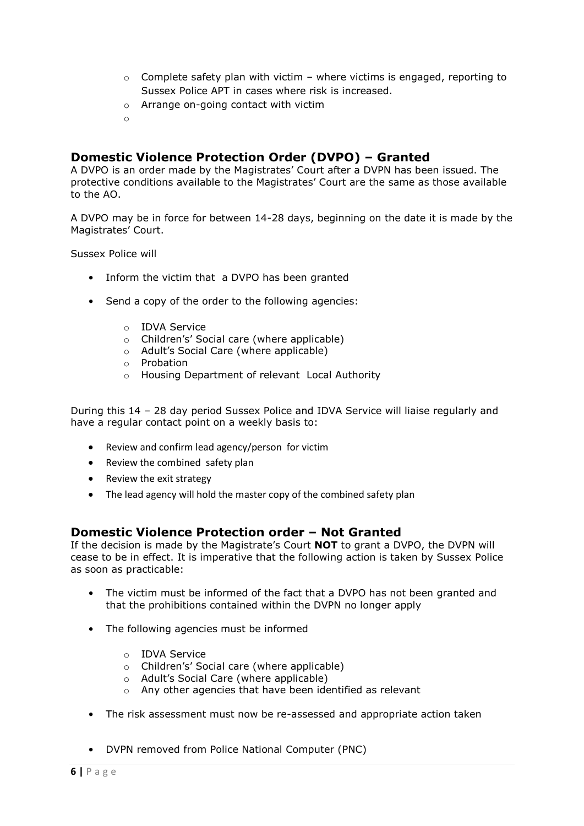- $\circ$  Complete safety plan with victim where victims is engaged, reporting to Sussex Police APT in cases where risk is increased.
- o Arrange on-going contact with victim
- o

## **Domestic Violence Protection Order (DVPO) – Granted**

A DVPO is an order made by the Magistrates' Court after a DVPN has been issued. The protective conditions available to the Magistrates' Court are the same as those available to the AO.

A DVPO may be in force for between 14-28 days, beginning on the date it is made by the Magistrates' Court.

Sussex Police will

- Inform the victim that a DVPO has been granted
- Send a copy of the order to the following agencies:
	- o IDVA Service
	- o Children's' Social care (where applicable)
	- o Adult's Social Care (where applicable)
	- o Probation
	- o Housing Department of relevant Local Authority

During this 14 – 28 day period Sussex Police and IDVA Service will liaise regularly and have a regular contact point on a weekly basis to:

- Review and confirm lead agency/person for victim
- Review the combined safety plan
- Review the exit strategy
- The lead agency will hold the master copy of the combined safety plan

## **Domestic Violence Protection order – Not Granted**

If the decision is made by the Magistrate's Court **NOT** to grant a DVPO, the DVPN will cease to be in effect. It is imperative that the following action is taken by Sussex Police as soon as practicable:

- The victim must be informed of the fact that a DVPO has not been granted and that the prohibitions contained within the DVPN no longer apply
- The following agencies must be informed
	- o IDVA Service
	- o Children's' Social care (where applicable)
	- o Adult's Social Care (where applicable)
	- o Any other agencies that have been identified as relevant
- The risk assessment must now be re-assessed and appropriate action taken
- DVPN removed from Police National Computer (PNC)